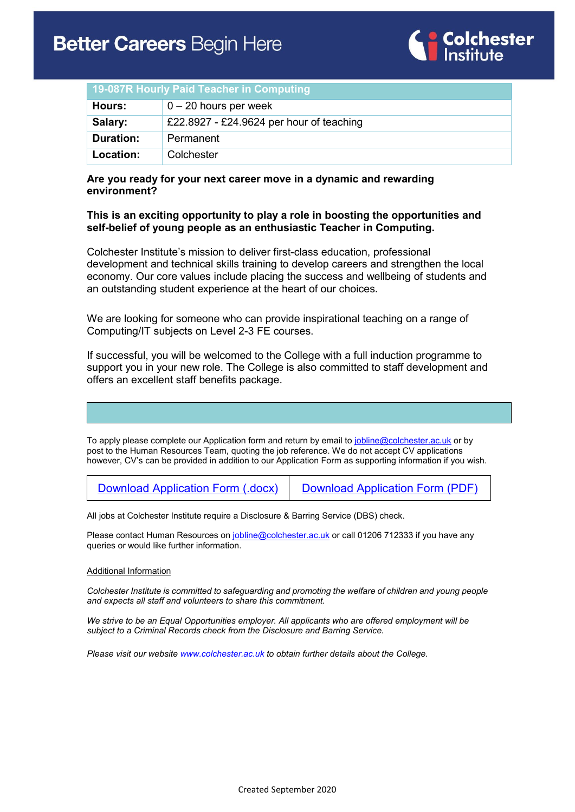

| 19-087R Hourly Paid Teacher in Computing |                                          |
|------------------------------------------|------------------------------------------|
| Hours:                                   | $0 - 20$ hours per week                  |
| Salary:                                  | £22.8927 - £24.9624 per hour of teaching |
| <b>Duration:</b>                         | Permanent                                |
| Location:                                | Colchester                               |

### **Are you ready for your next career move in a dynamic and rewarding environment?**

### **This is an exciting opportunity to play a role in boosting the opportunities and self-belief of young people as an enthusiastic Teacher in Computing.**

Colchester Institute's mission to deliver first-class education, professional development and technical skills training to develop careers and strengthen the local economy. Our core values include placing the success and wellbeing of students and an outstanding student experience at the heart of our choices.

We are looking for someone who can provide inspirational teaching on a range of Computing/IT subjects on Level 2-3 FE courses.

If successful, you will be welcomed to the College with a full induction programme to support you in your new role. The College is also committed to staff development and offers an excellent staff benefits package.

To apply please complete our Application form and return by email to [jobline@colchester.ac.uk](mailto:jobline@colchester.ac.uk) or by post to the Human Resources Team, quoting the job reference. We do not accept CV applications however, CV's can be provided in addition to our Application Form as supporting information if you wish.

[Download Application Form \(.docx\)](https://www.colchester.ac.uk/wp-content/uploads/2020/02/Job-Application-Form-Feb-2020.docx) [Download Application Form \(PDF\)](https://www.colchester.ac.uk/wp-content/uploads/2020/02/Job-Application-Form-Feb-2020.pdf)

All jobs at Colchester Institute require a Disclosure & Barring Service (DBS) check.

Please contact Human Resources on [jobline@colchester.ac.uk](mailto:jobline@colchester.ac.uk) or call 01206 712333 if you have any queries or would like further information.

#### Additional Information

*Colchester Institute is committed to safeguarding and promoting the welfare of children and young people and expects all staff and volunteers to share this commitment.*

*We strive to be an Equal Opportunities employer. All applicants who are offered employment will be subject to a Criminal Records check from the Disclosure and Barring Service.*

*Please visit our websit[e www.colchester.ac.uk](http://www.colchester.ac.uk/) to obtain further details about the College.*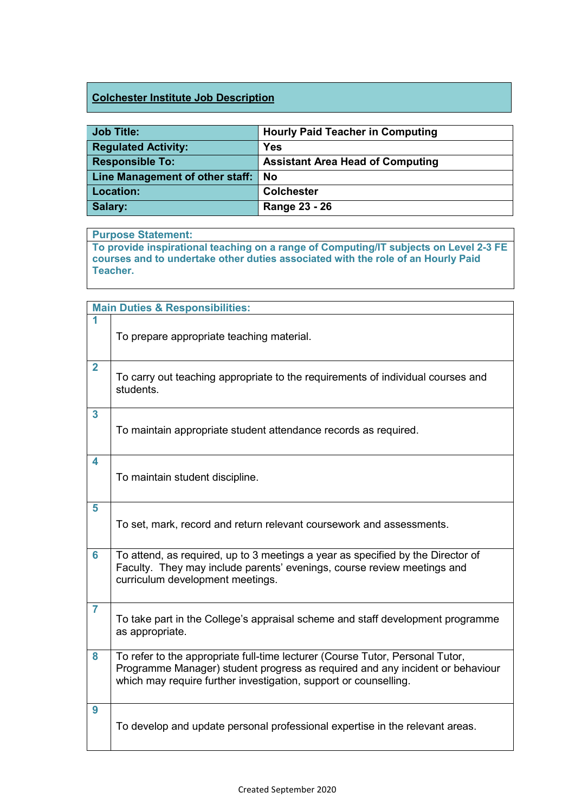## **Colchester Institute Job Description**

| <b>Job Title:</b>                  | <b>Hourly Paid Teacher in Computing</b> |
|------------------------------------|-----------------------------------------|
| <b>Regulated Activity:</b>         | <b>Yes</b>                              |
| <b>Responsible To:</b>             | <b>Assistant Area Head of Computing</b> |
| Line Management of other staff: No |                                         |
| Location:                          | <b>Colchester</b>                       |
| Salary:                            | Range 23 - 26                           |

## **Purpose Statement:**

**To provide inspirational teaching on a range of Computing/IT subjects on Level 2-3 FE courses and to undertake other duties associated with the role of an Hourly Paid Teacher.**

|                | <b>Main Duties &amp; Responsibilities:</b>                                                                                                                                                                                         |  |  |
|----------------|------------------------------------------------------------------------------------------------------------------------------------------------------------------------------------------------------------------------------------|--|--|
| 1              | To prepare appropriate teaching material.                                                                                                                                                                                          |  |  |
| $\overline{2}$ | To carry out teaching appropriate to the requirements of individual courses and<br>students.                                                                                                                                       |  |  |
| 3              | To maintain appropriate student attendance records as required.                                                                                                                                                                    |  |  |
| 4              | To maintain student discipline.                                                                                                                                                                                                    |  |  |
| 5              | To set, mark, record and return relevant coursework and assessments.                                                                                                                                                               |  |  |
| 6              | To attend, as required, up to 3 meetings a year as specified by the Director of<br>Faculty. They may include parents' evenings, course review meetings and<br>curriculum development meetings.                                     |  |  |
| $\overline{7}$ | To take part in the College's appraisal scheme and staff development programme<br>as appropriate.                                                                                                                                  |  |  |
| 8              | To refer to the appropriate full-time lecturer (Course Tutor, Personal Tutor,<br>Programme Manager) student progress as required and any incident or behaviour<br>which may require further investigation, support or counselling. |  |  |
| 9              | To develop and update personal professional expertise in the relevant areas.                                                                                                                                                       |  |  |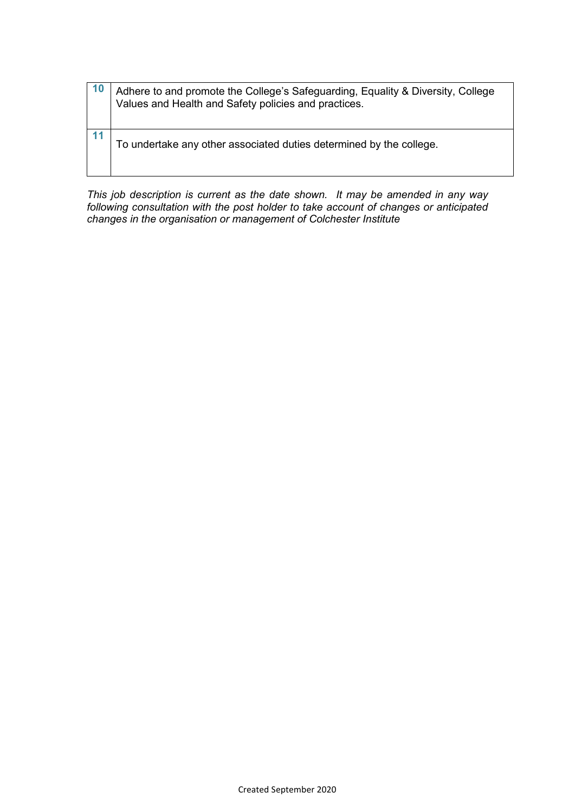| 10 | Adhere to and promote the College's Safeguarding, Equality & Diversity, College<br>Values and Health and Safety policies and practices. |
|----|-----------------------------------------------------------------------------------------------------------------------------------------|
|    | To undertake any other associated duties determined by the college.                                                                     |

*This job description is current as the date shown. It may be amended in any way following consultation with the post holder to take account of changes or anticipated changes in the organisation or management of Colchester Institute*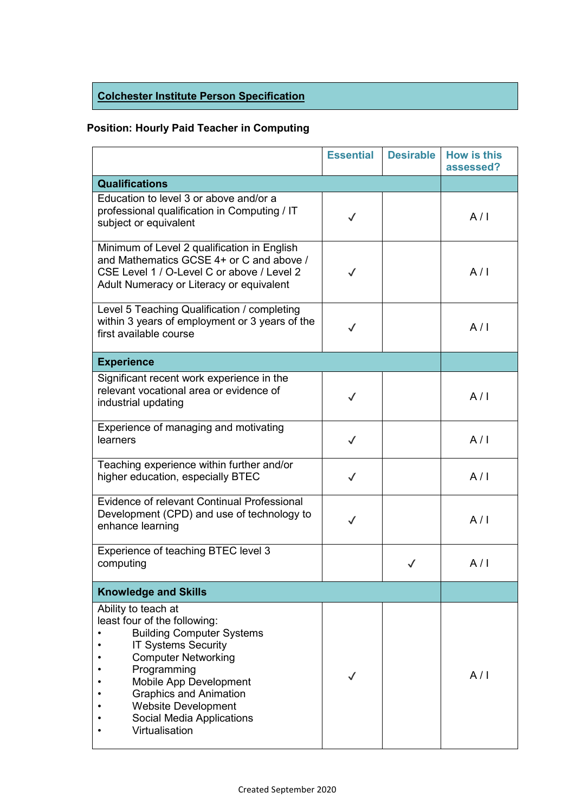# **Colchester Institute Person Specification**

## **Position: Hourly Paid Teacher in Computing**

|                                                                                                                                                                                                                                                                                                            | <b>Essential</b> | <b>Desirable</b> | <b>How is this</b><br>assessed? |
|------------------------------------------------------------------------------------------------------------------------------------------------------------------------------------------------------------------------------------------------------------------------------------------------------------|------------------|------------------|---------------------------------|
| <b>Qualifications</b>                                                                                                                                                                                                                                                                                      |                  |                  |                                 |
| Education to level 3 or above and/or a<br>professional qualification in Computing / IT<br>subject or equivalent                                                                                                                                                                                            | $\checkmark$     |                  | A/I                             |
| Minimum of Level 2 qualification in English<br>and Mathematics GCSE 4+ or C and above /<br>CSE Level 1 / O-Level C or above / Level 2<br>Adult Numeracy or Literacy or equivalent                                                                                                                          | $\checkmark$     |                  | A/I                             |
| Level 5 Teaching Qualification / completing<br>within 3 years of employment or 3 years of the<br>first available course                                                                                                                                                                                    | $\checkmark$     |                  | A/I                             |
| <b>Experience</b>                                                                                                                                                                                                                                                                                          |                  |                  |                                 |
| Significant recent work experience in the<br>relevant vocational area or evidence of<br>industrial updating                                                                                                                                                                                                | $\checkmark$     |                  | A/I                             |
| Experience of managing and motivating<br>learners                                                                                                                                                                                                                                                          | $\checkmark$     |                  | A/I                             |
| Teaching experience within further and/or<br>higher education, especially BTEC                                                                                                                                                                                                                             | $\checkmark$     |                  | A/I                             |
| Evidence of relevant Continual Professional<br>Development (CPD) and use of technology to<br>enhance learning                                                                                                                                                                                              | $\checkmark$     |                  | A/I                             |
| Experience of teaching BTEC level 3<br>computing                                                                                                                                                                                                                                                           |                  | ✓                | A/I                             |
| <b>Knowledge and Skills</b>                                                                                                                                                                                                                                                                                |                  |                  |                                 |
| Ability to teach at<br>least four of the following:<br><b>Building Computer Systems</b><br><b>IT Systems Security</b><br><b>Computer Networking</b><br>Programming<br>Mobile App Development<br><b>Graphics and Animation</b><br><b>Website Development</b><br>Social Media Applications<br>Virtualisation |                  |                  | A/I                             |